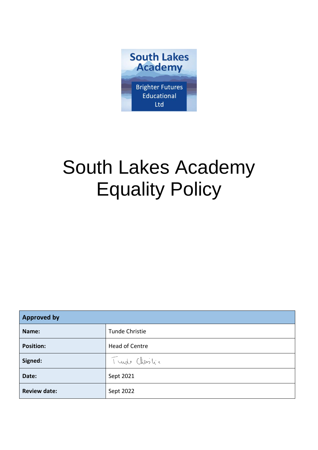

# South Lakes Academy Equality Policy

| <b>Approved by</b>  |                |
|---------------------|----------------|
| Name:               | Tunde Christie |
| <b>Position:</b>    | Head of Centre |
| Signed:             | Turde Christic |
| Date:               | Sept 2021      |
| <b>Review date:</b> | Sept 2022      |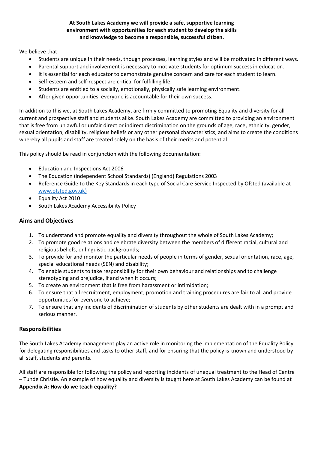#### **At South Lakes Academy we will provide a safe, supportive learning environment with opportunities for each student to develop the skills and knowledge to become a responsible, successful citizen.**

We believe that:

- Students are unique in their needs, though processes, learning styles and will be motivated in different ways.
- Parental support and involvement is necessary to motivate students for optimum success in education.
- It is essential for each educator to demonstrate genuine concern and care for each student to learn.
- Self-esteem and self-respect are critical for fulfilling life.
- Students are entitled to a socially, emotionally, physically safe learning environment.
- After given opportunities, everyone is accountable for their own success.

In addition to this we, at South Lakes Academy, are firmly committed to promoting Equality and diversity for all current and prospective staff and students alike. South Lakes Academy are committed to providing an environment that is free from unlawful or unfair direct or indirect discrimination on the grounds of age, race, ethnicity, gender, sexual orientation, disability, religious beliefs or any other personal characteristics, and aims to create the conditions whereby all pupils and staff are treated solely on the basis of their merits and potential.

This policy should be read in conjunction with the following documentation:

- Education and Inspections Act 2006
- The Education (independent School Standards) (England) Regulations 2003
- Reference Guide to the Key Standards in each type of Social Care Service Inspected by Ofsted (available at [www.ofsted.gov.uk\)](http://www.ofsted.gov.uk)/)
- Equality Act 2010
- South Lakes Academy Accessibility Policy

## **Aims and Objectives**

- 1. To understand and promote equality and diversity throughout the whole of South Lakes Academy;
- 2. To promote good relations and celebrate diversity between the members of different racial, cultural and religious beliefs, or linguistic backgrounds;
- 3. To provide for and monitor the particular needs of people in terms of gender, sexual orientation, race, age, special educational needs (SEN) and disability;
- 4. To enable students to take responsibility for their own behaviour and relationships and to challenge stereotyping and prejudice, if and when It occurs;
- 5. To create an environment that is free from harassment or intimidation;
- 6. To ensure that all recruitment, employment, promotion and training procedures are fair to all and provide opportunities for everyone to achieve;
- 7. To ensure that any incidents of discrimination of students by other students are dealt with in a prompt and serious manner.

#### **Responsibilities**

The South Lakes Academy management play an active role in monitoring the implementation of the Equality Policy, for delegating responsibilities and tasks to other staff, and for ensuring that the policy is known and understood by all staff, students and parents.

All staff are responsible for following the policy and reporting incidents of unequal treatment to the Head of Centre – Tunde Christie. An example of how equality and diversity is taught here at South Lakes Academy can be found at **Appendix A: How do we teach equality?**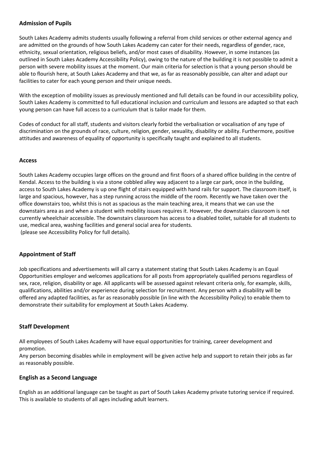#### **Admission of Pupils**

South Lakes Academy admits students usually following a referral from child services or other external agency and are admitted on the grounds of how South Lakes Academy can cater for their needs, regardless of gender, race, ethnicity, sexual orientation, religious beliefs, and/or most cases of disability. However, in some instances (as outlined in South Lakes Academy Accessibility Policy), owing to the nature of the building it is not possible to admit a person with severe mobility issues at the moment. Our main criteria for selection is that a young person should be able to flourish here, at South Lakes Academy and that we, as far as reasonably possible, can alter and adapt our facilities to cater for each young person and their unique needs.

With the exception of mobility issues as previously mentioned and full details can be found in our accessibility policy, South Lakes Academy is committed to full educational inclusion and curriculum and lessons are adapted so that each young person can have full access to a curriculum that is tailor made for them.

Codes of conduct for all staff, students and visitors clearly forbid the verbalisation or vocalisation of any type of discrimination on the grounds of race, culture, religion, gender, sexuality, disability or ability. Furthermore, positive attitudes and awareness of equality of opportunity is specifically taught and explained to all students.

#### **Access**

South Lakes Academy occupies large offices on the ground and first floors of a shared office building in the centre of Kendal. Access to the building is via a stone cobbled alley way adjacent to a large car park, once in the building, access to South Lakes Academy is up one flight of stairs equipped with hand rails for support. The classroom itself, is large and spacious, however, has a step running across the middle of the room. Recently we have taken over the office downstairs too, whilst this is not as spacious as the main teaching area, it means that we can use the downstairs area as and when a student with mobility issues requires it. However, the downstairs classroom is not currently wheelchair accessible. The downstairs classroom has access to a disabled toilet, suitable for all students to use, medical area, washing facilities and general social area for students. (please see Accessibility Policy for full details).

# **Appointment of Staff**

Job specifications and advertisements will all carry a statement stating that South Lakes Academy is an Equal Opportunities employer and welcomes applications for all posts from appropriately qualified persons regardless of sex, race, religion, disability or age. All applicants will be assessed against relevant criteria only, for example, skills, qualifications, abilities and/or experience during selection for recruitment. Any person with a disability will be offered any adapted facilities, as far as reasonably possible (in line with the Accessibility Policy) to enable them to demonstrate their suitability for employment at South Lakes Academy.

#### **Staff Development**

All employees of South Lakes Academy will have equal opportunities for training, career development and promotion.

Any person becoming disables while in employment will be given active help and support to retain their jobs as far as reasonably possible.

#### **English as a Second Language**

English as an additional language can be taught as part of South Lakes Academy private tutoring service if required. This is available to students of all ages including adult learners.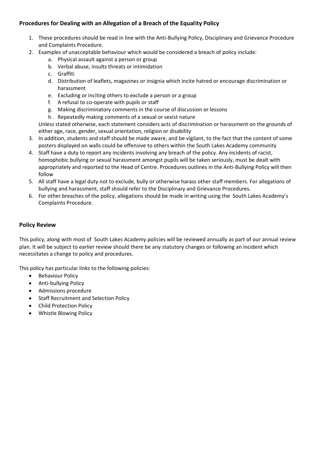# **Procedures for Dealing with an Allegation of a Breach of the Equality Policy**

- 1. These procedures should be read in line with the Anti-Bullying Policy, Disciplinary and Grievance Procedure and Complaints Procedure.
- 2. Examples of unacceptable behaviour which would be considered a breach of policy include:
	- a. Physical assault against a person or group
	- b. Verbal abuse, insults threats or intimidation
	- c. Graffiti
	- d. Distribution of leaflets, magazines or insignia which incite hatred or encourage discrimination or harassment
	- e. Excluding or inciting others to exclude a person or a group
	- f. A refusal to co-operate with pupils or staff
	- g. Making discriminatory comments in the course of discussion or lessons
	- h. Repeatedly making comments of a sexual or sexist nature

Unless stated otherwise, each statement considers acts of discrimination or harassment on the grounds of either age, race, gender, sexual orientation, religion or disability

- 3. In addition, students and staff should be made aware, and be vigilant, to the fact that the content of some posters displayed on walls could be offensive to others within the South Lakes Academy community
- 4. Staff have a duty to report any incidents involving any breach of the policy. Any incidents of racist, homophobic bullying or sexual harassment amongst pupils will be taken seriously, must be dealt with appropriately and reported to the Head of Centre. Procedures outlines in the Anti-Bullying Policy will then follow
- 5. All staff have a legal duty not to exclude, bully or otherwise harass other staff members. For allegations of bullying and harassment, staff should refer to the Disciplinary and Grievance Procedures.
- 6. For other breaches of the policy, allegations should be made in writing using the South Lakes Academy's Complaints Procedure.

## **Policy Review**

This policy, along with most of South Lakes Academy policies will be reviewed annually as part of our annual review plan. It will be subject to earlier review should there be any statutory changes or following an incident which necessitates a change to policy and procedures.

This policy has particular links to the following policies:

- Behaviour Policy
- Anti-bullying Policy
- Admissions procedure
- Staff Recruitment and Selection Policy
- Child Protection Policy
- Whistle Blowing Policy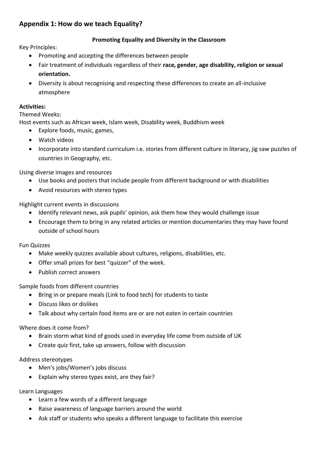# **Appendix 1: How do we teach Equality?**

# **Promoting Equality and Diversity in the Classroom**

Key Principles:

- Promoting and accepting the differences between people
- Fair treatment of individuals regardless of their **race, gender, age disability, religion or sexual orientation.**
- Diversity is about recognising and respecting these differences to create an all-inclusive atmosphere

# **Activities:**

Themed Weeks:

Host events such as African week, Islam week, Disability week, Buddhism week

- Explore foods, music, games,
- Watch videos
- Incorporate into standard curriculum i.e. stories from different culture in literacy, jig saw puzzles of countries in Geography, etc.

Using diverse images and resources

- Use books and posters that include people from different background or with disabilities
- Avoid resources with stereo types

Highlight current events in discussions

- Identify relevant news, ask pupils' opinion, ask them how they would challenge issue
- Encourage them to bring in any related articles or mention documentaries they may have found outside of school hours

Fun Quizzes

- Make weekly quizzes available about cultures, religions, disabilities, etc.
- Offer small prizes for best "quizzer" of the week.
- Publish correct answers

Sample foods from different countries

- Bring in or prepare meals (Link to food tech) for students to taste
- Discuss likes or dislikes
- Talk about why certain food items are or are not eaten in certain countries

Where does it come from?

- Brain storm what kind of goods used in everyday life come from outside of UK
- Create quiz first, take up answers, follow with discussion

Address stereotypes

- Men's jobs/Women's jobs discuss
- Explain why stereo types exist, are they fair?

Learn Languages

- Learn a few words of a different language
- Raise awareness of language barriers around the world
- Ask staff or students who speaks a different language to facilitate this exercise